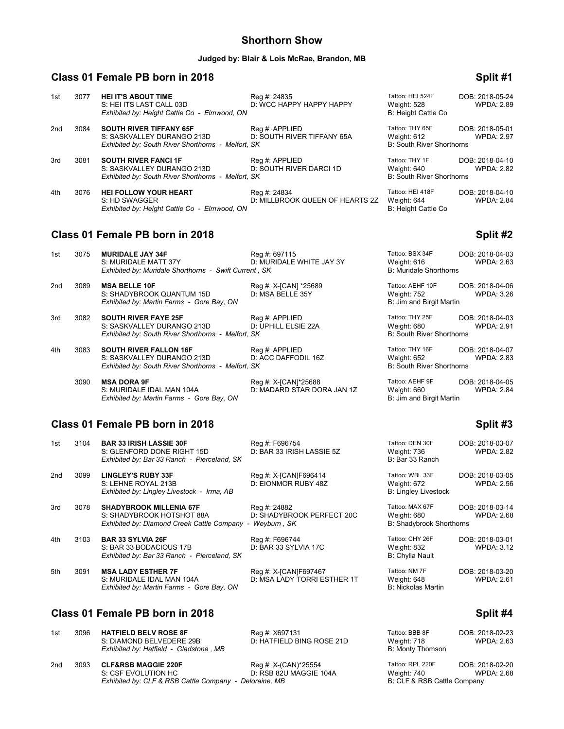### **Shorthorn Show**

#### **Judged by: Blair & Lois McRae, Brandon, MB**

# **Class 01 Female PB born in 2018 Split #1 Split #1 Split #1**

| 1st | 3077 | <b>HEI IT'S ABOUT TIME</b><br>S: HEI ITS LAST CALL 03D                                                             | Reg #: 24835<br>D: WCC HAPPY HAPPY HAPPY        | Tattoo: HEI 524F<br>Weight: 528                                    | DOB: 2018-05-24<br><b>WPDA: 2.89</b> |
|-----|------|--------------------------------------------------------------------------------------------------------------------|-------------------------------------------------|--------------------------------------------------------------------|--------------------------------------|
|     |      | Exhibited by: Height Cattle Co - Elmwood, ON                                                                       |                                                 | B: Height Cattle Co                                                |                                      |
| 2nd | 3084 | <b>SOUTH RIVER TIFFANY 65F</b><br>S: SASKVALLEY DURANGO 213D<br>Exhibited by: South River Shorthorns - Melfort, SK | Reg #: APPLIED<br>D: SOUTH RIVER TIFFANY 65A    | Tattoo: THY 65F<br>Weight: 612<br><b>B: South River Shorthorns</b> | DOB: 2018-05-01<br><b>WPDA: 2.97</b> |
| 3rd | 3081 | <b>SOUTH RIVER FANCI 1F</b><br>S: SASKVALLEY DURANGO 213D<br>Exhibited by: South River Shorthorns - Melfort, SK    | Reg #: APPLIED<br>D: SOUTH RIVER DARCI 1D       | Tattoo: THY 1F<br>Weight: 640<br><b>B: South River Shorthorns</b>  | DOB: 2018-04-10<br><b>WPDA: 2.82</b> |
| 4th | 3076 | <b>HEI FOLLOW YOUR HEART</b><br>S: HD SWAGGER<br>Exhibited by: Height Cattle Co - Elmwood, ON                      | Reg #: 24834<br>D: MILLBROOK QUEEN OF HEARTS 2Z | Tattoo: HEI 418F<br>Weight: 644<br><b>B: Height Cattle Co</b>      | DOB: 2018-04-10<br><b>WPDA: 2.84</b> |

# **Class 01 Female PB born in 2018 Split #2 Split #2**

| 3075 | <b>MURIDALE JAY 34F</b>                   | Reg #: 697115            | Tattoo: BSX 34F                                                                                                                                                   | DOB: 2018-04-03   |
|------|-------------------------------------------|--------------------------|-------------------------------------------------------------------------------------------------------------------------------------------------------------------|-------------------|
|      | S: MURIDALE MATT 37Y                      | D: MURIDALE WHITE JAY 3Y | Weight: 616                                                                                                                                                       | <b>WPDA: 2.63</b> |
|      |                                           |                          | <b>B: Muridale Shorthorns</b>                                                                                                                                     |                   |
| 3089 | <b>MSA BELLE 10F</b>                      | Reg #: X-[CAN] *25689    | Tattoo: AEHF 10F                                                                                                                                                  | DOB: 2018-04-06   |
|      | S: SHADYBROOK QUANTUM 15D                 | D: MSA BELLE 35Y         | Weight: 752                                                                                                                                                       | <b>WPDA: 3.26</b> |
|      | Exhibited by: Martin Farms - Gore Bay, ON |                          | B: Jim and Birgit Martin                                                                                                                                          |                   |
| 3082 | <b>SOUTH RIVER FAYE 25F</b>               | Reg #: APPLIED           | Tattoo: THY 25F                                                                                                                                                   | DOB: 2018-04-03   |
|      | S: SASKVALLEY DURANGO 213D                | D: UPHILL ELSIE 22A      | Weight: 680                                                                                                                                                       | <b>WPDA: 2.91</b> |
|      |                                           |                          | <b>B: South River Shorthorns</b>                                                                                                                                  |                   |
| 3083 | <b>SOUTH RIVER FALLON 16F</b>             | Reg #: APPLIED           | Tattoo: THY 16F                                                                                                                                                   | DOB: 2018-04-07   |
|      | S: SASKVALLEY DURANGO 213D                | D: ACC DAFFODIL 16Z      | Weight: 652                                                                                                                                                       | <b>WPDA: 2.83</b> |
|      |                                           |                          | <b>B: South River Shorthorns</b>                                                                                                                                  |                   |
|      |                                           |                          | Exhibited by: Muridale Shorthorns - Swift Current, SK<br>Exhibited by: South River Shorthorns - Melfort, SK<br>Exhibited by: South River Shorthorns - Melfort, SK |                   |

3090 **MSA DORA 9F** Reg #: X-[CAN]\*25688 Tattoo: AEHF 9F DOB: 2018-04-05<br>3. S: MURIDALE IDAL MAN 104A D: MADARD STAR DORA JAN 1Z Weight: 660 WPDA: 2.84 S: MURIDALE IDAL MAN 104A D: MADARD STAR DORA JAN 1Z Weight: 660 WPDA: 2.84 *Exhibited by: Martin Farms - Gore Bay, ON* B: Jim and Birgit Martin

#### **Class 01 Female PB born in 2018**

| 1st | 3104 | <b>BAR 33 IRISH LASSIE 30F</b><br>S: GLENFORD DONE RIGHT 15D<br>Exhibited by: Bar 33 Ranch - Pierceland, SK | Reg #: F696754<br>D: BAR 33 IRISH LASSIE 5Z              | Tattoo: DEN 30F<br>Weight: 736<br>B: Bar 33 Ranch                 | DOB: 2018-03-07<br><b>WPDA: 2.82</b> |
|-----|------|-------------------------------------------------------------------------------------------------------------|----------------------------------------------------------|-------------------------------------------------------------------|--------------------------------------|
| 2nd | 3099 | <b>LINGLEY'S RUBY 33F</b><br>S: LEHNE ROYAL 213B<br>Exhibited by: Lingley Livestock - Irma, AB              | Reg #: X-[CAN]F696414<br>D: EIONMOR RUBY 48Z             | Tattoo: WBL 33F<br>Weight: 672<br><b>B: Lingley Livestock</b>     | DOB: 2018-03-05<br><b>WPDA: 2.56</b> |
| 3rd | 3078 | <b>SHADYBROOK MILLENIA 67F</b><br>S: SHADYBROOK HOTSHOT 88A<br>Exhibited by: Diamond Creek Cattle Company - | Reg #: 24882<br>D: SHADYBROOK PERFECT 20C<br>Weyburn, SK | Tattoo: MAX 67F<br>Weight: 680<br><b>B: Shadybrook Shorthorns</b> | DOB: 2018-03-14<br><b>WPDA: 2.68</b> |
| 4th | 3103 | <b>BAR 33 SYLVIA 26F</b><br>S: BAR 33 BODACIOUS 17B<br>Exhibited by: Bar 33 Ranch - Pierceland, SK          | Reg #: F696744<br>D: BAR 33 SYLVIA 17C                   | Tattoo: CHY 26F<br>Weight: 832<br>B: Chylla Nault                 | DOB: 2018-03-01<br><b>WPDA: 3.12</b> |
| 5th | 3091 | <b>MSA LADY ESTHER 7F</b><br>S: MURIDALE IDAL MAN 104A<br>Exhibited by: Martin Farms - Gore Bay, ON         | Reg #: X-[CAN]F697467<br>D: MSA LADY TORRI ESTHER 1T     | Tattoo: NM 7F<br>Weight: 648<br><b>B: Nickolas Martin</b>         | DOB: 2018-03-20<br><b>WPDA: 2.61</b> |
|     |      |                                                                                                             |                                                          |                                                                   |                                      |

## **Class 01 Female PB born in 2018 Split #4 Split #4**

| 1st | 3096 | <b>HATFIELD BELV ROSE 8F</b><br>S: DIAMOND BELVEDERE 29B<br>Exhibited by: Hatfield - Gladstone, MB | Reg #: X697131<br>D: HATFIELD BING ROSE 21D                     | Tattoo: BBB 8F<br>Weight: 718<br>B: Monty Thomson              | DOB: 2018-02-23<br>WPDA: 2.63 |
|-----|------|----------------------------------------------------------------------------------------------------|-----------------------------------------------------------------|----------------------------------------------------------------|-------------------------------|
| 2nd | 3093 | <b>CLF&amp;RSB MAGGIE 220F</b><br>S: CSF EVOLUTION HC<br>Exhibited by: CLF & RSB Cattle Company -  | Reg #: X-(CAN)*25554<br>D: RSB 82U MAGGIE 104A<br>Deloraine, MB | Tattoo: RPL 220F<br>Weight: 740<br>B: CLF & RSB Cattle Company | DOB: 2018-02-20<br>WPDA: 2.68 |

| 1 auvv. ALI 11<br>Weight: 660<br>B: Jim and Birgit Martin     | DUD. ZU 10-04-09<br><b>WPDA: 2.84</b> |
|---------------------------------------------------------------|---------------------------------------|
|                                                               | Split #3                              |
| Tattoo: DEN 30F<br>Weight: 736<br>B: Bar 33 Ranch             | DOB: 2018-03-07<br><b>WPDA: 2.82</b>  |
| Tattoo: WBL 33F<br>Weight: 672<br><b>B: Lingley Livestock</b> | DOB: 2018-03-05<br><b>WPDA: 2.56</b>  |
| Tattoo: MAX 67F<br>Weight: 680<br>B: Shadybrook Shorthorns    | DOB: 2018-03-14<br><b>WPDA: 2.68</b>  |
| Tattoo: CHY 26F<br>Weight: 832<br><b>B: Chylla Nault</b>      | DOB: 2018-03-01<br><b>WPDA: 3.12</b>  |
| Tattoo: NM 7F<br>Weight: 648<br><b>B: Nickolas Martin</b>     | DOB: 2018-03-20<br><b>WPDA: 2.61</b>  |
|                                                               |                                       |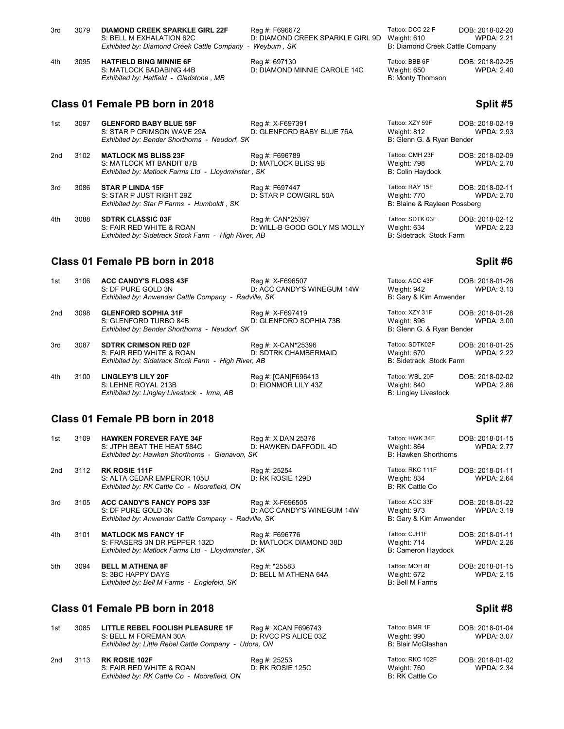| 3rd | 3079 | <b>DIAMOND CREEK SPARKLE GIRL 22F</b><br>S: BELL M EXHALATION 62C<br>Exhibited by: Diamond Creek Cattle Company - | Reg #: F696672<br>D: DIAMOND CREEK SPARKLE GIRL 9D<br>Wevburn . SK | Tattoo: DCC 22 F<br>Weight: 610<br>B: Diamond Creek Cattle Company | DOB: 2018-02-20<br>WPDA: 2.21 |
|-----|------|-------------------------------------------------------------------------------------------------------------------|--------------------------------------------------------------------|--------------------------------------------------------------------|-------------------------------|
| 4th | 3095 | <b>HATFIELD BING MINNIE 6F</b><br>S: MATLOCK BADABING 44B<br>Exhibited by: Hatfield - Gladstone, MB               | Reg #: 697130<br>D: DIAMOND MINNIE CAROLE 14C                      | Tattoo: BBB 6F<br>Weight: 650<br>B: Monty Thomson                  | DOB: 2018-02-25<br>WPDA: 2.40 |

# **Class 01 Female PB born in 2018 Split #5 Split #5 Split #5**

| 1st | 3097 | <b>GLENFORD BABY BLUE 59F</b><br>S: STAR P CRIMSON WAVE 29A<br>Exhibited by: Bender Shorthorns - Neudorf, SK | Reg #: X-F697391<br>D: GLENFORD BABY BLUE 76A    | Tattoo: XZY 59F<br>Weight: 812<br>B: Glenn G. & Ryan Bender    | DOB: 2018-02-19<br><b>WPDA: 2.93</b> |
|-----|------|--------------------------------------------------------------------------------------------------------------|--------------------------------------------------|----------------------------------------------------------------|--------------------------------------|
| 2nd | 3102 | <b>MATLOCK MS BLISS 23F</b>                                                                                  | Reg #: F696789                                   | Tattoo: CMH 23F                                                | DOB: 2018-02-09                      |
|     |      | S: MATLOCK MT BANDIT 87B<br>Exhibited by: Matlock Farms Ltd - Lloydminster, SK                               | D: MATLOCK BLISS 9B                              | Weight: 798<br><b>B: Colin Haydock</b>                         | <b>WPDA: 2.78</b>                    |
| 3rd | 3086 | <b>STAR P LINDA 15F</b><br>S: STAR P JUST RIGHT 29Z<br>Exhibited by: Star P Farms - Humboldt, SK             | Reg #: F697447<br>D: STAR P COWGIRL 50A          | Tattoo: RAY 15F<br>Weight: 770<br>B: Blaine & Rayleen Possberg | DOB: 2018-02-11<br>WPDA: 2.70        |
| 4th | 3088 | <b>SDTRK CLASSIC 03F</b><br>S: FAIR RED WHITE & ROAN                                                         | Reg #: CAN*25397<br>D: WILL-B GOOD GOLY MS MOLLY | Tattoo: SDTK 03F<br>Weight: 634                                | DOB: 2018-02-12<br><b>WPDA: 2.23</b> |

### **Class 01 Female PB born in 2018 Split #6** Split #6

*Exhibited by: Sidetrack Stock Farm - High River, AB* 

| 1st | 3106 | <b>ACC CANDY'S FLOSS 43F</b><br>S: DF PURE GOLD 3N<br>Exhibited by: Anwender Cattle Company - Radville, SK      | Reg #: X-F696507<br>D: ACC CANDY'S WINEGUM 14W | Tattoo: ACC 43F<br>Weight: 942<br>B: Gary & Kim Anwender      | DOB: 2018-01-26<br><b>WPDA: 3.13</b> |
|-----|------|-----------------------------------------------------------------------------------------------------------------|------------------------------------------------|---------------------------------------------------------------|--------------------------------------|
| 2nd | 3098 | <b>GLENFORD SOPHIA 31F</b><br>S: GLENFORD TURBO 84B<br>Exhibited by: Bender Shorthorns - Neudorf, SK            | Reg #: X-F697419<br>D: GLENFORD SOPHIA 73B     | Tattoo: XZY 31F<br>Weight: 896<br>B: Glenn G. & Ryan Bender   | DOB: 2018-01-28<br>WPDA: 3.00        |
| 3rd | 3087 | <b>SDTRK CRIMSON RED 02F</b><br>S: FAIR RED WHITE & ROAN<br>Exhibited by: Sidetrack Stock Farm - High River, AB | Reg #: X-CAN*25396<br>D: SDTRK CHAMBERMAID     | Tattoo: SDTK02F<br>Weight: 670<br>B: Sidetrack Stock Farm     | DOB: 2018-01-25<br><b>WPDA: 2.22</b> |
| 4th | 3100 | <b>LINGLEY'S LILY 20F</b><br>S: LEHNE ROYAL 213B<br>Exhibited by: Lingley Livestock - Irma, AB                  | Reg #: [CAN]F696413<br>D: EIONMOR LILY 43Z     | Tattoo: WBL 20F<br>Weight: 840<br><b>B: Lingley Livestock</b> | DOB: 2018-02-02<br>WPDA: 2.86        |

### **Class 01 Female PB born in 2018 Split #7 Split #7 Split #7 Split #7**

| 1st | 3109 | <b>HAWKEN FOREVER FAYE 34F</b><br>S: JTPH BEAT THE HEAT 584C                                                     | Reg #: X DAN 25376<br>D: HAWKEN DAFFODIL 4D    | Tattoo: HWK 34F<br>Weight: 864                           | DOB: 2018-01-15<br><b>WPDA: 2.77</b> |
|-----|------|------------------------------------------------------------------------------------------------------------------|------------------------------------------------|----------------------------------------------------------|--------------------------------------|
|     |      | Exhibited by: Hawken Shorthorns - Glenavon, SK                                                                   |                                                | <b>B: Hawken Shorthorns</b>                              |                                      |
| 2nd | 3112 | <b>RK ROSIE 111F</b><br>S: ALTA CEDAR EMPEROR 105U<br>Exhibited by: RK Cattle Co - Moorefield, ON                | Reg #: 25254<br>D: RK ROSIE 129D               | Tattoo: RKC 111F<br>Weight: 834<br>B: RK Cattle Co       | DOB: 2018-01-11<br><b>WPDA: 2.64</b> |
| 3rd | 3105 | <b>ACC CANDY'S FANCY POPS 33F</b><br>S: DF PURE GOLD 3N<br>Exhibited by: Anwender Cattle Company - Radville, SK  | Reg #: X-F696505<br>D: ACC CANDY'S WINEGUM 14W | Tattoo: ACC 33F<br>Weight: 973<br>B: Gary & Kim Anwender | DOB: 2018-01-22<br><b>WPDA: 3.19</b> |
| 4th | 3101 | <b>MATLOCK MS FANCY 1F</b><br>S: FRASERS 3N DR PEPPER 132D<br>Exhibited by: Matlock Farms Ltd - Lloydminster, SK | Reg #: F696776<br>D: MATLOCK DIAMOND 38D       | Tattoo: CJH1F<br>Weight: 714<br>B: Cameron Haydock       | DOB: 2018-01-11<br><b>WPDA: 2.26</b> |
| 5th | 3094 | <b>BELL M ATHENA 8F</b><br>S: 3BC HAPPY DAYS<br>Exhibited by: Bell M Farms - Englefeld, SK                       | Reg #: *25583<br>D: BELL M ATHENA 64A          | Tattoo: MOH 8F<br>Weight: 672<br><b>B: Bell M Farms</b>  | DOB: 2018-01-15<br><b>WPDA: 2.15</b> |

# **Class 01 Female PB born in 2018 Split #8** Split #8

| 1st | 3085 | LITTLE REBEL FOOLISH PLEASURE 1F<br>S: BELL M FOREMAN 30A<br>Exhibited by: Little Rebel Cattle Company - Udora, ON | Reg #: XCAN F696743<br>D: RVCC PS ALICE 03Z | Tattoo: BMR 1F<br>Weight: 990<br>B: Blair McGlashan | DOB: 2018-01-04<br><b>WPDA: 3.07</b> |
|-----|------|--------------------------------------------------------------------------------------------------------------------|---------------------------------------------|-----------------------------------------------------|--------------------------------------|
| 2nd | 3113 | <b>RK ROSIE 102F</b><br>S: FAIR RED WHITE & ROAN<br>Exhibited by: RK Cattle Co - Moorefield, ON                    | Reg #: 25253<br>D: RK ROSIE 125C            | Tattoo: RKC 102F<br>Weight: 760<br>B: RK Cattle Co  | DOB: 2018-01-02<br><b>WPDA: 2.34</b> |

| Weight: 798<br><b>B: Colin Haydock</b>                            | WPDA: 2                  |
|-------------------------------------------------------------------|--------------------------|
| Tattoo: RAY 15F<br>Weight: 770<br>B: Blaine & Rayleen Possberg    | DOB: 2018-02<br>WPDA: 2  |
| Tattoo: SDTK 03F<br>Weight: 634<br><b>B: Sidetrack Stock Farm</b> | DOB: 2018-02<br>WPDA: 2  |
|                                                                   | Split i                  |
| Tattoo: ACC 43F<br>Weight: 942<br>B: Gary & Kim Anwender          | DOB: 2018-01<br>WPDA: 3  |
| Tattoo: XZY 31F<br>Weight: 896<br>B: Glenn G. & Ryan Bender       | DOB: 2018-01<br>WPDA: 3  |
| Tattoo: SDTK02F                                                   | ገOB <sup>.</sup> 2018-01 |

DOB: 2018-01-15

| Weight: 864<br><b>B: Hawken Shorthorns</b>                | WPDA: 2.77                           |
|-----------------------------------------------------------|--------------------------------------|
| Tattoo: RKC 111F<br>Weight: 834<br>B: RK Cattle Co        | DOB: 2018-01-11<br><b>WPDA: 2.64</b> |
| Tattoo: ACC 33F<br>Weight: 973<br>B: Gary & Kim Anwender  | DOB: 2018-01-22<br><b>WPDA: 3.19</b> |
| Tattoo: CJH1F<br>Weight: 714<br><b>B: Cameron Haydock</b> | DOB: 2018-01-11<br><b>WPDA: 2.26</b> |
| Tattoo: MOH 8F<br>Weight: 672<br><b>B: Bell M Farms</b>   | DOB: 2018-01-15<br><b>WPDA: 2.15</b> |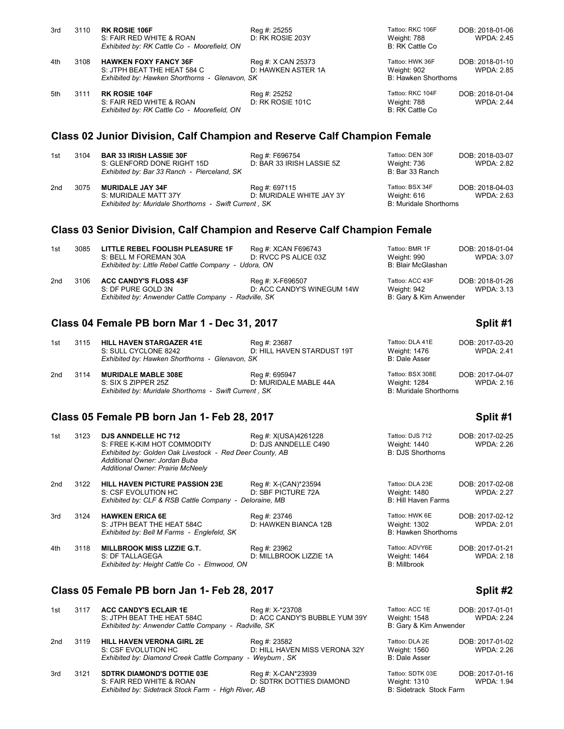| 3rd | 3110 | <b>RK ROSIE 106F</b>                           | Reg #: 25255       | Tattoo: RKC 106F     | DOB: 2018-01-06   |
|-----|------|------------------------------------------------|--------------------|----------------------|-------------------|
|     |      | S: FAIR RED WHITE & ROAN                       | D: RK ROSIE 203Y   | Weight: 788          | WPDA: 2.45        |
|     |      | Exhibited by: RK Cattle Co - Moorefield, ON    |                    | B: RK Cattle Co      |                   |
| 4th | 3108 | <b>HAWKEN FOXY FANCY 36F</b>                   | Reg #: X CAN 25373 | Tattoo: HWK 36F      | DOB: 2018-01-10   |
|     |      | S: JTPH BEAT THE HEAT 584 C                    | D: HAWKEN ASTER 1A | Weight: 902          | WPDA: 2.85        |
|     |      | Exhibited by: Hawken Shorthorns - Glenavon, SK |                    | B: Hawken Shorthorns |                   |
| 5th | 3111 | <b>RK ROSIE 104F</b>                           | Reg #: 25252       | Tattoo: RKC 104F     | DOB: 2018-01-04   |
|     |      | S: FAIR RED WHITE & ROAN                       | D: RK ROSIE 101C   | Weight: 788          | <b>WPDA: 2.44</b> |
|     |      | Exhibited by: RK Cattle Co - Moorefield, ON    |                    | B: RK Cattle Co.     |                   |
|     |      |                                                |                    |                      |                   |

## **Class 02 Junior Division, Calf Champion and Reserve Calf Champion Female**

| 1st | 3104 | <b>BAR 33 IRISH LASSIE 30F</b><br>S: GLENFORD DONE RIGHT 15D | Reg #: F696754<br>D: BAR 33 IRISH LASSIE 5Z | Tattoo: DEN 30F<br>Weight: 736 | DOB: 2018-03-07<br>WPDA: 2.82 |
|-----|------|--------------------------------------------------------------|---------------------------------------------|--------------------------------|-------------------------------|
|     |      | Exhibited by: Bar 33 Ranch - Pierceland, SK                  |                                             | B: Bar 33 Ranch                |                               |
| 2nd | 3075 | <b>MURIDALE JAY 34F</b>                                      | Reg #: 697115                               | Tattoo: BSX 34F                | DOB: 2018-04-03               |
|     |      | S: MURIDALE MATT 37Y                                         | D: MURIDALE WHITE JAY 3Y                    | Weight: 616                    | WPDA: 2.63                    |
|     |      | Exhibited by: Muridale Shorthorns - Swift Current, SK        |                                             | B: Muridale Shorthorns         |                               |

### **Class 03 Senior Division, Calf Champion and Reserve Calf Champion Female**

| 1st | 3085 | LITTLE REBEL FOOLISH PLEASURE 1F                      | Reg #: XCAN F696743        | Tattoo: BMR 1F         | DOB: 2018-01-04   |
|-----|------|-------------------------------------------------------|----------------------------|------------------------|-------------------|
|     |      | S: BELL M FOREMAN 30A                                 | D: RVCC PS ALICE 03Z       | Weight: 990            | <b>WPDA: 3.07</b> |
|     |      | Exhibited by: Little Rebel Cattle Company - Udora, ON |                            | B: Blair McGlashan     |                   |
| 2nd | 3106 | <b>ACC CANDY'S FLOSS 43F</b>                          | Reg #: X-F696507           | Tattoo: ACC 43F        | DOB: 2018-01-26   |
|     |      | S: DF PURE GOLD 3N                                    | D: ACC CANDY'S WINEGUM 14W | Weight: 942            | <b>WPDA: 3.13</b> |
|     |      | Exhibited by: Anwender Cattle Company - Radville, SK  |                            | B: Gary & Kim Anwender |                   |

#### **Class 04 Female PB born Mar 1 - Dec 31, 2017 Split #1**

| 1st | 3115 | <b>HILL HAVEN STARGAZER 41E</b><br>S: SULL CYCLONE 8242<br>Exhibited by: Hawken Shorthorns - Glenavon, SK  | Reg #: 23687<br>D: HILL HAVEN STARDUST 19T | Tattoo: DLA 41E<br>Weight: 1476<br>B: Dale Asser                  | DOB: 2017-03-20<br><b>WPDA: 2.41</b> |
|-----|------|------------------------------------------------------------------------------------------------------------|--------------------------------------------|-------------------------------------------------------------------|--------------------------------------|
| 2nd | 3114 | <b>MURIDALE MABLE 308E</b><br>S: SIX S ZIPPER 25Z<br>Exhibited by: Muridale Shorthorns - Swift Current, SK | Reg #: 695947<br>D: MURIDALE MABLE 44A     | Tattoo: BSX 308E<br>Weight: 1284<br><b>B: Muridale Shorthorns</b> | DOB: 2017-04-07<br>WPDA: 2.16        |

## **Class 05 Female PB born Jan 1- Feb 28, 2017 Split #1**

| 1st             | 3123 | <b>DJS ANNDELLE HC 712</b><br>S: FREE K-KIM HOT COMMODITY<br>Exhibited by: Golden Oak Livestock - Red Deer County, AB<br>Additional Owner: Jordan Buba<br>Additional Owner: Prairie McNeely | Reg #: X(USA)4261228<br>D: DJS ANNDELLE C490                | Tattoo: DJS 712<br>Weight: 1440<br><b>B: DJS Shorthorns</b> | DOB: 2017-02-25<br><b>WPDA: 2.26</b> |
|-----------------|------|---------------------------------------------------------------------------------------------------------------------------------------------------------------------------------------------|-------------------------------------------------------------|-------------------------------------------------------------|--------------------------------------|
| 2 <sub>nd</sub> | 3122 | <b>HILL HAVEN PICTURE PASSION 23E</b><br>S: CSF EVOLUTION HC<br>Exhibited by: CLF & RSB Cattle Company -                                                                                    | Reg #: X-(CAN)*23594<br>D: SBF PICTURE 72A<br>Deloraine, MB | Tattoo: DLA 23E<br>Weight: 1480<br>B: Hill Haven Farms      | DOB: 2017-02-08<br><b>WPDA: 2.27</b> |
| 3rd             | 3124 | <b>HAWKEN ERICA 6E</b><br>S: JTPH BEAT THE HEAT 584C<br>Exhibited by: Bell M Farms - Englefeld, SK                                                                                          | Reg #: 23746<br>D: HAWKEN BIANCA 12B                        | Tattoo: HWK 6E<br>Weight: 1302<br>B: Hawken Shorthorns      | DOB: 2017-02-12<br><b>WPDA: 2.01</b> |
| 4th             | 3118 | <b>MILLBROOK MISS LIZZIE G.T.</b><br>S: DF TALLAGEGA<br>Exhibited by: Height Cattle Co - Elmwood, ON                                                                                        | Reg #: 23962<br>D: MILLBROOK LIZZIE 1A                      | Tattoo: ADVY6E<br>Weight: 1464<br><b>B: Millbrook</b>       | DOB: 2017-01-21<br><b>WPDA: 2.18</b> |

# **Class 05 Female PB born Jan 1- Feb 28, 2017 Split #2**

| 1st | 3117 | <b>ACC CANDY'S ECLAIR 1E</b><br>S: JTPH BEAT THE HEAT 584C | Reg #: X-*23708<br>D: ACC CANDY'S BUBBLE YUM 39Y | Tattoo: ACC 1E<br>Weight: 1548 | DOB: 2017-01-01<br><b>WPDA: 2.24</b> |
|-----|------|------------------------------------------------------------|--------------------------------------------------|--------------------------------|--------------------------------------|
|     |      | Exhibited by: Anwender Cattle Company - Radville, SK       |                                                  | B: Gary & Kim Anwender         |                                      |
| 2nd | 3119 | <b>HILL HAVEN VERONA GIRL 2E</b>                           | Reg #: 23582                                     | Tattoo: DLA 2E                 | DOB: 2017-01-02                      |
|     |      | S: CSF EVOLUTION HC                                        | D: HILL HAVEN MISS VERONA 32Y                    | Weight: 1560                   | <b>WPDA: 2.26</b>                    |
|     |      | Exhibited by: Diamond Creek Cattle Company - Weyburn, SK   |                                                  | <b>B: Dale Asser</b>           |                                      |
| 3rd | 3121 | <b>SDTRK DIAMOND'S DOTTIE 03E</b>                          | Reg #: X-CAN*23939                               | Tattoo: SDTK 03E               | DOB: 2017-01-16                      |
|     |      | S: FAIR RED WHITE & ROAN                                   | D: SDTRK DOTTIES DIAMOND                         | Weight: 1310                   | <b>WPDA: 1.94</b>                    |
|     |      | Exhibited by: Sidetrack Stock Farm - High River, AB        |                                                  | B: Sidetrack Stock Farm        |                                      |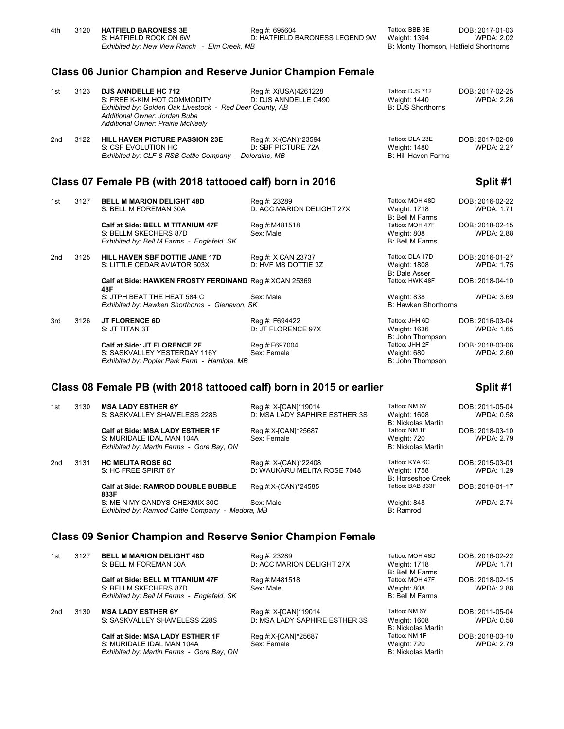|                 |      | <b>Class 06 Junior Champion and Reserve Junior Champion Female</b>                                                                                                                          |                                              |                                                             |                                      |
|-----------------|------|---------------------------------------------------------------------------------------------------------------------------------------------------------------------------------------------|----------------------------------------------|-------------------------------------------------------------|--------------------------------------|
| 1st             | 3123 | <b>DJS ANNDELLE HC 712</b><br>S: FREE K-KIM HOT COMMODITY<br>Exhibited by: Golden Oak Livestock - Red Deer County, AB<br>Additional Owner: Jordan Buba<br>Additional Owner: Prairie McNeely | Reg #: X(USA)4261228<br>D: DJS ANNDELLE C490 | Tattoo: DJS 712<br>Weight: 1440<br><b>B: DJS Shorthorns</b> | DOB: 2017-02-25<br><b>WPDA: 2.26</b> |
| 2 <sub>nd</sub> | 3122 | <b>HILL HAVEN PICTURE PASSION 23E</b><br>S: CSF EVOLUTION HC<br>Exhibited by: CLF & RSB Cattle Company - Deloraine, MB                                                                      | Reg #: X-(CAN)*23594<br>D: SBF PICTURE 72A   | Tattoo: DLA 23E<br>Weight: 1480<br>B: Hill Haven Farms      | DOB: 2017-02-08<br><b>WPDA: 2.27</b> |
|                 |      | Class 07 Female PB (with 2018 tattooed calf) born in 2016                                                                                                                                   |                                              |                                                             | Split #1                             |
| 1st             | 3127 | <b>BELL M MARION DELIGHT 48D</b><br>S: BELL M FOREMAN 30A                                                                                                                                   | Reg #: 23289<br>D: ACC MARION DELIGHT 27X    | Tattoo: MOH 48D<br>Weight: 1718<br><b>B: Bell M Farms</b>   | DOB: 2016-02-22<br><b>WPDA: 1.71</b> |
|                 |      | Calf at Side: BELL M TITANIUM 47F<br>S: BELLM SKECHERS 87D<br>Exhibited by: Bell M Farms - Englefeld, SK                                                                                    | Reg #:M481518<br>Sex: Male                   | Tattoo: MOH 47F<br>Weight: 808<br><b>B: Bell M Farms</b>    | DOB: 2018-02-15<br><b>WPDA: 2.88</b> |
| 2 <sub>nd</sub> | 3125 | HILL HAVEN SBF DOTTIE JANE 17D<br>S: LITTLE CEDAR AVIATOR 503X                                                                                                                              | Reg #: X CAN 23737<br>D: HVF MS DOTTIE 3Z    | Tattoo: DLA 17D<br>Weight: 1808<br><b>B: Dale Asser</b>     | DOB: 2016-01-27<br><b>WPDA: 1.75</b> |
|                 |      | Calf at Side: HAWKEN FROSTY FERDINAND Reg #:XCAN 25369<br>48F                                                                                                                               |                                              | Tattoo: HWK 48F                                             | DOB: 2018-04-10                      |
|                 |      | S: JTPH BEAT THE HEAT 584 C<br>Exhibited by: Hawken Shorthorns - Glenavon, SK                                                                                                               | Sex: Male                                    | Weight: 838<br><b>B: Hawken Shorthorns</b>                  | <b>WPDA: 3.69</b>                    |

4th 3120 **HATFIELD BARONESS 3E** Reg #: 695604 Tattoo: BBB 3E DOB: 2017-01-03<br>2.02 S: HATFIELD ROCK ON 6W D: HATFIELD BARONESS LEGEND 9W Weight: 1394 WPDA: 2.02

D: HATFIELD BARONESS LEGEND 9W Weight: 1394 WPDA: 2.02<br>B: Monty Thomson, Hatfield Shorthorns

*Exhibited by: Hawken Shorthorns - Glenavon, SK* 3rd 3126 **JT FLORENCE 6D** Reg #: F694422 Reg and Tattoo: JHH 6D DOB: 2016-03-04<br>5: S: JT TITAN 3T D: JT FLORENCE 97X Weight: 1636 WPDA: 1.65

B: John Thompson<br>Reg #:F697004 Tattoo: JHH 2F Calf at Side: JT FLORENCE 2F Reg #:F697004 Tattoo: JHH 2F DOB: 2018-03-06<br>S: SASKVALLEY YESTERDAY 116Y Sex: Female **Simple Access State Access Provident**: 680 WPDA: 2.60 S: SASKVALLEY YESTERDAY 116Y Sex: Female Sexetyne Weight: 680<br>
Exhibited by: Poplar Park Farm - Hamiota, MB<br>
B: John Thompson *Exhibited by: Poplar Park Farm - Hamiota, MB* 

*Exhibited by: New View Ranch - Elm Creek, MB* 

**Class 08 Female PB (with 2018 tattooed calf) born in 2015 or earlier Split #1** 

| 1st | 3130 | <b>MSA LADY ESTHER 6Y</b><br>S: SASKVALLEY SHAMELESS 228S                                                  | Reg #: X-[CAN]*19014<br>D: MSA LADY SAPHIRE ESTHER 3S | Tattoo: NM 6Y<br>Weight: 1608<br><b>B: Nickolas Martin</b>  | DOB: 2011-05-04<br><b>WPDA: 0.58</b> |
|-----|------|------------------------------------------------------------------------------------------------------------|-------------------------------------------------------|-------------------------------------------------------------|--------------------------------------|
|     |      | Calf at Side: MSA LADY ESTHER 1F<br>S: MURIDALE IDAL MAN 104A<br>Exhibited by: Martin Farms - Gore Bay, ON | Reg #:X-[CAN]*25687<br>Sex: Female                    | Tattoo: NM 1F<br>Weight: 720<br><b>B: Nickolas Martin</b>   | DOB: 2018-03-10<br><b>WPDA: 2.79</b> |
| 2nd | 3131 | <b>HC MELITA ROSE 6C</b><br>S: HC FREE SPIRIT 6Y                                                           | Reg #: X-(CAN)*22408<br>D: WAUKARU MELITA ROSE 7048   | Tattoo: KYA 6C<br>Weight: 1758<br><b>B: Horseshoe Creek</b> | DOB: 2015-03-01<br><b>WPDA: 1.29</b> |
|     |      | <b>Calf at Side: RAMROD DOUBLE BUBBLE</b><br>833F                                                          | Reg #:X-(CAN)*24585                                   | Tattoo: BAB 833F                                            | DOB: 2018-01-17                      |
|     |      | S: ME N MY CANDYS CHEXMIX 30C<br>Exhibited by: Ramrod Cattle Company - Medora, MB                          | Sex: Male                                             | Weight: 848<br>B: Ramrod                                    | <b>WPDA: 2.74</b>                    |

D: JT FLORENCE 97X

### **Class 09 Senior Champion and Reserve Senior Champion Female**

| 1st             | 3127 | <b>BELL M MARION DELIGHT 48D</b><br>S: BELL M FOREMAN 30A                                                  | Reg #: 23289<br>D: ACC MARION DELIGHT 27X             | Tattoo: MOH 48D<br><b>Weight: 1718</b><br>B: Bell M Farms  | DOB: 2016-02-22<br><b>WPDA: 1.71</b> |
|-----------------|------|------------------------------------------------------------------------------------------------------------|-------------------------------------------------------|------------------------------------------------------------|--------------------------------------|
|                 |      | Calf at Side: BELL M TITANIUM 47F<br>S: BELLM SKECHERS 87D<br>Exhibited by: Bell M Farms - Englefeld, SK   | Reg #:M481518<br>Sex: Male                            | Tattoo: MOH 47F<br>Weight: 808<br>B: Bell M Farms          | DOB: 2018-02-15<br><b>WPDA: 2.88</b> |
| 2 <sub>nd</sub> | 3130 | <b>MSA LADY ESTHER 6Y</b><br>S: SASKVALLEY SHAMELESS 228S                                                  | Reg #: X-[CAN]*19014<br>D: MSA LADY SAPHIRE ESTHER 3S | Tattoo: NM 6Y<br>Weight: 1608<br><b>B: Nickolas Martin</b> | DOB: 2011-05-04<br>WPDA: 0.58        |
|                 |      | Calf at Side: MSA LADY ESTHER 1F<br>S: MURIDALE IDAL MAN 104A<br>Exhibited by: Martin Farms - Gore Bay, ON | Reg #:X-[CAN]*25687<br>Sex: Female                    | Tattoo: NM 1F<br>Weight: 720<br><b>B: Nickolas Martin</b>  | DOB: 2018-03-10<br><b>WPDA: 2.79</b> |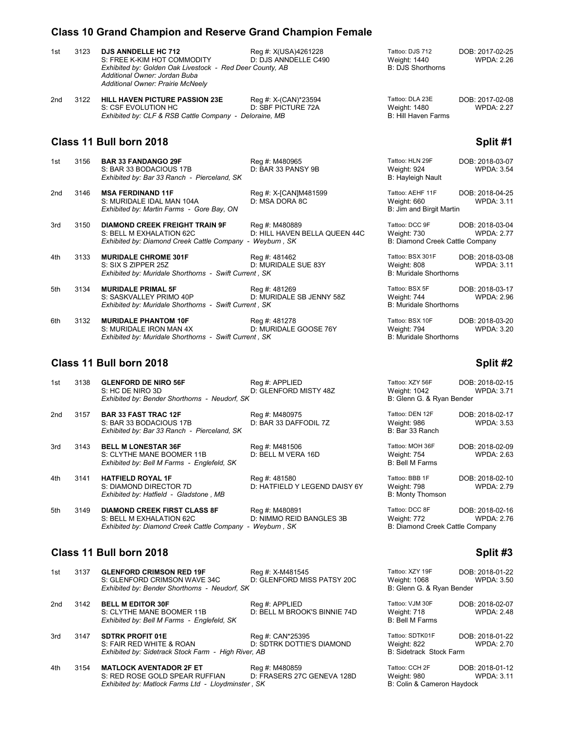# **Class 10 Grand Champion and Reserve Grand Champion Female**

| 1st             | 3123 | <b>DJS ANNDELLE HC 712</b><br>S: FREE K-KIM HOT COMMODITY<br>Exhibited by: Golden Oak Livestock - Red Deer County, AB<br>Additional Owner: Jordan Buba<br><b>Additional Owner: Prairie McNeely</b> | Reg #: X(USA)4261228<br>D: DJS ANNDELLE C490    | Tattoo: DJS 712<br>Weight: 1440<br><b>B: DJS Shorthorns</b>      | DOB: 2017-02-25<br><b>WPDA: 2.26</b> |
|-----------------|------|----------------------------------------------------------------------------------------------------------------------------------------------------------------------------------------------------|-------------------------------------------------|------------------------------------------------------------------|--------------------------------------|
| 2 <sub>nd</sub> | 3122 | <b>HILL HAVEN PICTURE PASSION 23E</b><br>S: CSF EVOLUTION HC<br>Exhibited by: CLF & RSB Cattle Company - Deloraine, MB                                                                             | Reg #: X-(CAN)*23594<br>D: SBF PICTURE 72A      | Tattoo: DLA 23E<br>Weight: 1480<br>B: Hill Haven Farms           | DOB: 2017-02-08<br><b>WPDA: 2.27</b> |
|                 |      | Class 11 Bull born 2018                                                                                                                                                                            |                                                 |                                                                  | Split #1                             |
| 1st             | 3156 | <b>BAR 33 FANDANGO 29F</b><br>S: BAR 33 BODACIOUS 17B<br>Exhibited by: Bar 33 Ranch - Pierceland, SK                                                                                               | Reg #: M480965<br>D: BAR 33 PANSY 9B            | Tattoo: HLN 29F<br>Weight: 924<br>B: Hayleigh Nault              | DOB: 2018-03-07<br><b>WPDA: 3.54</b> |
| 2 <sub>nd</sub> | 3146 | <b>MSA FERDINAND 11F</b><br>S: MURIDALE IDAL MAN 104A<br>Exhibited by: Martin Farms - Gore Bay, ON                                                                                                 | Reg #: X-[CAN]M481599<br>D: MSA DORA 8C         | Tattoo: AEHF 11F<br>Weight: 660<br>B: Jim and Birgit Martin      | DOB: 2018-04-25<br><b>WPDA: 3.11</b> |
| 3rd             | 3150 | <b>DIAMOND CREEK FREIGHT TRAIN 9F</b><br>S: BELL M EXHALATION 62C<br>Exhibited by: Diamond Creek Cattle Company - Weyburn, SK                                                                      | Reg #: M480889<br>D: HILL HAVEN BELLA QUEEN 44C | Tattoo: DCC 9F<br>Weight: 730<br>B: Diamond Creek Cattle Company | DOB: 2018-03-04<br><b>WPDA: 2.77</b> |
| 4th             | 3133 | <b>MURIDALE CHROME 301F</b><br>S: SIX S ZIPPER 25Z<br>Exhibited by: Muridale Shorthorns - Swift Current, SK                                                                                        | Reg #: 481462<br>D: MURIDALE SUE 83Y            | Tattoo: BSX 301F<br>Weight: 808<br><b>B: Muridale Shorthorns</b> | DOB: 2018-03-08<br><b>WPDA: 3.11</b> |
| 5th             | 3134 | <b>MURIDALE PRIMAL 5F</b><br>S: SASKVALLEY PRIMO 40P<br>Exhibited by: Muridale Shorthorns - Swift Current, SK                                                                                      | Reg #: 481269<br>D: MURIDALE SB JENNY 58Z       | Tattoo: BSX 5F<br>Weight: 744<br><b>B: Muridale Shorthorns</b>   | DOB: 2018-03-17<br><b>WPDA: 2.96</b> |
| 6th             | 3132 | <b>MURIDALE PHANTOM 10F</b><br>S: MURIDALE IRON MAN 4X<br>Exhibited by: Muridale Shorthorns - Swift Current, SK                                                                                    | Reg #: 481278<br>D: MURIDALE GOOSE 76Y          | Tattoo: BSX 10F<br>Weight: 794<br><b>B: Muridale Shorthorns</b>  | DOB: 2018-03-20<br><b>WPDA: 3.20</b> |

## **Class 11 Bull born 2018 Split #2**

| 1st | 3138 | <b>GLENFORD DE NIRO 56F</b><br>S: HC DE NIRO 3D<br>Exhibited by: Bender Shorthorns - Neudorf, SK                | Reg #: APPLIED<br>D: GLENFORD MISTY 48Z                   | Tattoo: XZY 56F<br>Weight: 1042<br>B: Glenn G. & Ryan Bender     | DOB: 2018-02-15<br><b>WPDA: 3.71</b> |
|-----|------|-----------------------------------------------------------------------------------------------------------------|-----------------------------------------------------------|------------------------------------------------------------------|--------------------------------------|
| 2nd | 3157 | <b>BAR 33 FAST TRAC 12F</b><br>S: BAR 33 BODACIOUS 17B<br>Exhibited by: Bar 33 Ranch - Pierceland, SK           | Reg #: M480975<br>D: BAR 33 DAFFODIL 7Z                   | Tattoo: DEN 12F<br>Weight: 986<br>B: Bar 33 Ranch                | DOB: 2018-02-17<br><b>WPDA: 3.53</b> |
| 3rd | 3143 | <b>BELL M LONESTAR 36F</b><br>S: CLYTHE MANE BOOMER 11B<br>Exhibited by: Bell M Farms - Englefeld, SK           | Reg #: M481506<br>D: BELL M VERA 16D                      | Tattoo: MOH 36F<br>Weight: 754<br>B: Bell M Farms                | DOB: 2018-02-09<br>WPDA: 2.63        |
| 4th | 3141 | <b>HATFIELD ROYAL 1F</b><br>S: DIAMOND DIRECTOR 7D<br>Exhibited by: Hatfield - Gladstone, MB                    | Reg #: 481580<br>D: HATFIELD Y LEGEND DAISY 6Y            | Tattoo: BBB 1F<br>Weight: 798<br><b>B: Monty Thomson</b>         | DOB: 2018-02-10<br><b>WPDA: 2.79</b> |
| 5th | 3149 | <b>DIAMOND CREEK FIRST CLASS 8F</b><br>S: BELL M EXHALATION 62C<br>Exhibited by: Diamond Creek Cattle Company - | Reg #: M480891<br>D: NIMMO REID BANGLES 3B<br>Weyburn, SK | Tattoo: DCC 8F<br>Weight: 772<br>B: Diamond Creek Cattle Company | DOB: 2018-02-16<br>WPDA: 2.76        |

## **Class 11 Bull born 2018 Split #3**

| 1st | 3137 | <b>GLENFORD CRIMSON RED 19F</b><br>S: GLENFORD CRIMSON WAVE 34C<br>Exhibited by: Bender Shorthorns - Neudorf, SK | Reg #: X-M481545<br>D: GLENFORD MISS PATSY 20C | Tattoo: XZY 19F<br>Weight: 1068<br>B: Glenn G. & Ryan Bender | DOB: 2018-01-22<br><b>WPDA: 3.50</b> |
|-----|------|------------------------------------------------------------------------------------------------------------------|------------------------------------------------|--------------------------------------------------------------|--------------------------------------|
| 2nd | 3142 | <b>BELL M EDITOR 30F</b><br>S: CLYTHE MANE BOOMER 11B<br>Exhibited by: Bell M Farms - Englefeld, SK              | Reg #: APPLIED<br>D: BELL M BROOK'S BINNIE 74D | Tattoo: VJM 30F<br>Weight: 718<br>B: Bell M Farms            | DOB: 2018-02-07<br><b>WPDA: 2.48</b> |
| 3rd | 3147 | <b>SDTRK PROFIT 01E</b><br>S: FAIR RED WHITE & ROAN<br>Exhibited by: Sidetrack Stock Farm - High River, AB       | Reg #: CAN*25395<br>D: SDTRK DOTTIE'S DIAMOND  | Tattoo: SDTK01F<br>Weight: 822<br>B: Sidetrack Stock Farm    | DOB: 2018-01-22<br><b>WPDA: 2.70</b> |
| 4th | 3154 | <b>MATLOCK AVENTADOR 2F ET</b>                                                                                   | Reg #: M480859                                 | Tattoo: CCH 2F                                               | DOB: 2018-01-12                      |

S: RED ROSE GOLD SPEAR RUFFIAN D: FRASERS 27C GENEVA 128D W.<br>Exhibited by: Matlock Farms Ltd - Lloydminster, SK B: *Exhibited by: Matlock Farms Ltd - Lloydminster, SK* 

| attoo: XZY 19F<br>Veight: 1068<br>3: Glenn G. & Ryan Bender | DOB: 2018-01-22<br><b>WPDA: 3.50</b> |
|-------------------------------------------------------------|--------------------------------------|
| attoo: VJM 30F<br>Veight: 718<br>3: Bell M Farms            | DOB: 2018-02-07<br><b>WPDA: 2.48</b> |
| attoo: SDTK01F<br>Veight: 822<br>3: Sidetrack Stock Farm    | DOB: 2018-01-22<br><b>WPDA: 2.70</b> |
| $-44.2.0011.05$                                             | הגנה הגהה הי                         |

| ittoo: CCH 2F             | DOB: 2018-01-12 |
|---------------------------|-----------------|
| eight: 980'               | WPDA: 3.11      |
| : Colin & Cameron Haydock |                 |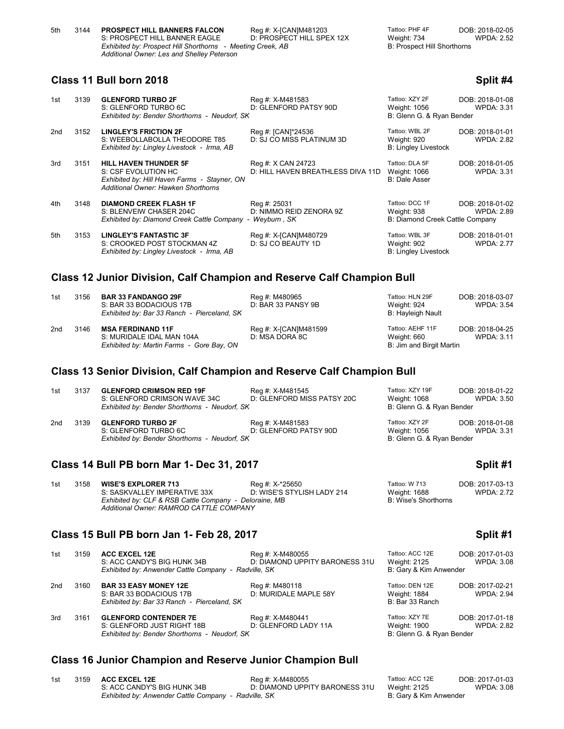| 5th | 3144 | <b>PROSPECT HILL BANNERS FALCON</b>                        | Reg #: X-[CAN]M481203     | Tattoo: PHF 4F              | DOB: 2018-02-05   |
|-----|------|------------------------------------------------------------|---------------------------|-----------------------------|-------------------|
|     |      | S: PROSPECT HILL BANNER EAGLE                              | D: PROSPECT HILL SPEX 12X | Weight: 734                 | <b>WPDA: 2.52</b> |
|     |      | Exhibited by: Prospect Hill Shorthorns - Meeting Creek, AB |                           | B: Prospect Hill Shorthorns |                   |
|     |      | Additional Owner: Les and Shelley Peterson                 |                           |                             |                   |

## **Class 11 Bull born 2018 Split #4**

| 1st | 3139 | <b>GLENFORD TURBO 2F</b><br>S: GLENFORD TURBO 6C<br>Exhibited by: Bender Shorthorns - Neudorf, SK                                          | Reg #: X-M481583<br>D: GLENFORD PATSY 90D               | Tattoo: XZY 2F<br>Weight: 1056<br>B: Glenn G. & Ryan Bender      | DOB: 2018-01-08<br><b>WPDA: 3.31</b> |
|-----|------|--------------------------------------------------------------------------------------------------------------------------------------------|---------------------------------------------------------|------------------------------------------------------------------|--------------------------------------|
| 2nd | 3152 | <b>LINGLEY'S FRICTION 2F</b><br>S: WEEBOLLABOLLA THEODORE T85<br>Exhibited by: Lingley Livestock - Irma, AB                                | Reg #: [CAN]*24536<br>D: SJ CO MISS PLATINUM 3D         | Tattoo: WBL 2F<br>Weight: 920<br><b>B: Lingley Livestock</b>     | DOB: 2018-01-01<br><b>WPDA: 2.82</b> |
| 3rd | 3151 | <b>HILL HAVEN THUNDER 5F</b><br>S: CSF EVOLUTION HC<br>Exhibited by: Hill Haven Farms - Stayner, ON<br>Additional Owner: Hawken Shorthorns | Reg #: X CAN 24723<br>D: HILL HAVEN BREATHLESS DIVA 11D | Tattoo: DLA 5F<br>Weight: 1066<br><b>B: Dale Asser</b>           | DOB: 2018-01-05<br><b>WPDA: 3.31</b> |
| 4th | 3148 | <b>DIAMOND CREEK FLASH 1F</b><br>S: BLENVEIW CHASER 204C<br>Exhibited by: Diamond Creek Cattle Company -                                   | Reg #: 25031<br>D: NIMMO REID ZENORA 9Z<br>Weyburn, SK  | Tattoo: DCC 1F<br>Weight: 938<br>B: Diamond Creek Cattle Company | DOB: 2018-01-02<br><b>WPDA: 2.89</b> |
| 5th | 3153 | <b>LINGLEY'S FANTASTIC 3F</b><br>S: CROOKED POST STOCKMAN 4Z<br>Exhibited by: Lingley Livestock - Irma, AB                                 | Reg #: X-[CAN]M480729<br>D: SJ CO BEAUTY 1D             | Tattoo: WBL 3F<br>Weight: 902<br><b>B: Lingley Livestock</b>     | DOB: 2018-01-01<br><b>WPDA: 2.77</b> |

### **Class 12 Junior Division, Calf Champion and Reserve Calf Champion Bull**

| 1st | 3156 | <b>BAR 33 FANDANGO 29F</b><br>S: BAR 33 BODACIOUS 17B<br>Exhibited by: Bar 33 Ranch - Pierceland, SK | Reg #: M480965<br>D: BAR 33 PANSY 9B    | Tattoo: HLN 29F<br>Weight: 924<br>B: Hayleigh Nault         | DOB: 2018-03-07<br>WPDA: 3.54 |
|-----|------|------------------------------------------------------------------------------------------------------|-----------------------------------------|-------------------------------------------------------------|-------------------------------|
| 2nd | 3146 | <b>MSA FERDINAND 11F</b><br>S: MURIDALE IDAL MAN 104A<br>Exhibited by: Martin Farms - Gore Bay, ON   | Reg #: X-[CAN]M481599<br>D: MSA DORA 8C | Tattoo: AEHF 11F<br>Weight: 660<br>B: Jim and Birgit Martin | DOB: 2018-04-25<br>WPDA: 3.11 |

## **Class 13 Senior Division, Calf Champion and Reserve Calf Champion Bull**

| 1st | 3137 | <b>GLENFORD CRIMSON RED 19F</b><br>S: GLENFORD CRIMSON WAVE 34C<br>Exhibited by: Bender Shorthorns - Neudorf, SK | Reg #: X-M481545<br>D: GLENFORD MISS PATSY 20C | Tattoo: XZY 19F<br>Weight: 1068<br>B: Glenn G. & Ryan Bender | DOB: 2018-01-22<br>WPDA: 3.50 |
|-----|------|------------------------------------------------------------------------------------------------------------------|------------------------------------------------|--------------------------------------------------------------|-------------------------------|
| 2nd | 3139 | <b>GLENFORD TURBO 2F</b><br>S: GLENFORD TURBO 6C<br>Exhibited by: Bender Shorthorns - Neudorf, SK                | Reg #: X-M481583<br>D: GLENFORD PATSY 90D      | Tattoo: XZY 2F<br>Weight: 1056<br>B: Glenn G. & Ryan Bender  | DOB: 2018-01-08<br>WPDA: 3.31 |

### **Class 14 Bull PB born Mar 1- Dec 31, 2017 Split #1**

| 1st | 3158 | <b>WISE'S EXPLORER 713</b>                             | Rea #: X-*25650            | Tattoo: W 713        | DOB: 2017-03-13   |
|-----|------|--------------------------------------------------------|----------------------------|----------------------|-------------------|
|     |      | S: SASKVALLEY IMPERATIVE 33X                           | D: WISE'S STYLISH LADY 214 | Weight: 1688         | <b>WPDA: 2.72</b> |
|     |      | Exhibited by: CLF & RSB Cattle Company - Deloraine, MB |                            | B: Wise's Shorthorns |                   |
|     |      | Additional Owner: RAMROD CATTLE COMPANY                |                            |                      |                   |

### **Class 15 Bull PB born Jan 1- Feb 28, 2017 Split #1**

| 1st | 3159 | <b>ACC EXCEL 12E</b><br>S: ACC CANDY'S BIG HUNK 34B<br>Exhibited by: Anwender Cattle Company - Radville, SK | Reg #: X-M480055<br>D: DIAMOND UPPITY BARONESS 31U | Tattoo: ACC 12E<br>Weight: 2125<br>B: Gary & Kim Anwender   | DOB: 2017-01-03<br><b>WPDA: 3.08</b> |
|-----|------|-------------------------------------------------------------------------------------------------------------|----------------------------------------------------|-------------------------------------------------------------|--------------------------------------|
| 2nd | 3160 | <b>BAR 33 EASY MONEY 12E</b><br>S: BAR 33 BODACIOUS 17B<br>Exhibited by: Bar 33 Ranch - Pierceland, SK      | Reg #: M480118<br>D: MURIDALE MAPLE 58Y            | Tattoo: DEN 12E<br>Weight: 1884<br>B: Bar 33 Ranch          | DOB: 2017-02-21<br><b>WPDA: 2.94</b> |
| 3rd | 3161 | <b>GLENFORD CONTENDER 7E</b><br>S: GLENFORD JUST RIGHT 18B<br>Exhibited by: Bender Shorthorns - Neudorf, SK | Reg #: X-M480441<br>D: GLENFORD LADY 11A           | Tattoo: XZY 7E<br>Weight: 1900<br>B: Glenn G. & Ryan Bender | DOB: 2017-01-18<br><b>WPDA: 2.82</b> |

# **Class 16 Junior Champion and Reserve Junior Champion Bull**

| 1st | 3159 ACC EXCEL 12E                                   | Rea #: X-M480055               | Tattoo: ACC 12E        | DOB: 2017-01-03   |
|-----|------------------------------------------------------|--------------------------------|------------------------|-------------------|
|     | S: ACC CANDY'S BIG HUNK 34B                          | D: DIAMOND UPPITY BARONESS 31U | Weight: 2125           | <b>WPDA: 3.08</b> |
|     | Exhibited by: Anwender Cattle Company - Radville, SK |                                | B: Garv & Kim Anwender |                   |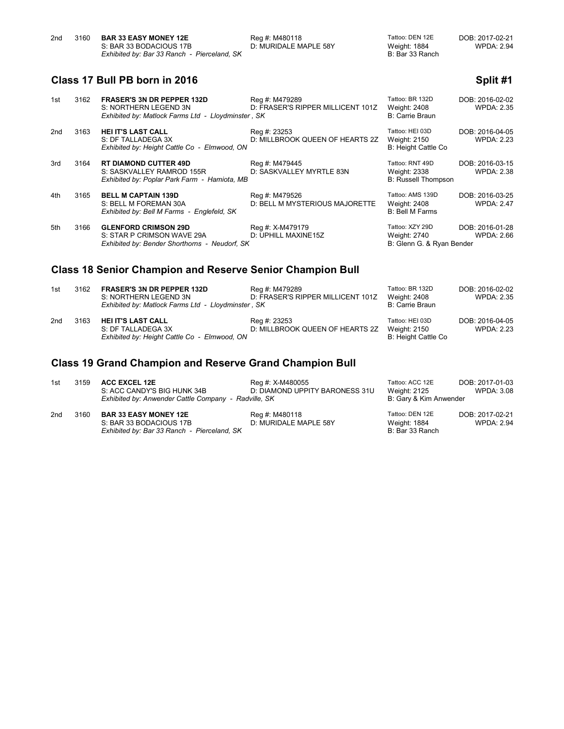| 2nd | 3160 | <b>BAR 33 EASY MONEY 12E</b>                | Reg #: M480118        | Tattoo: DEN 12E | DOB: 2017-02-21   |
|-----|------|---------------------------------------------|-----------------------|-----------------|-------------------|
|     |      | S: BAR 33 BODACIOUS 17B                     | D: MURIDALE MAPLE 58Y | Weight: 1884    | <b>WPDA: 2.94</b> |
|     |      | Exhibited by: Bar 33 Ranch - Pierceland, SK |                       | B: Bar 33 Ranch |                   |

# **Class 17 Bull PB born in 2016 Split #1 Split #1 Split #1**

| 1st                                                       | 3162 | <b>FRASER'S 3N DR PEPPER 132D</b><br>S: NORTHERN LEGEND 3N<br>Exhibited by: Matlock Farms Ltd - Lloydminster, SK | Reg #: M479289<br>D: FRASER'S RIPPER MILLICENT 101Z | Tattoo: BR 132D<br>Weight: 2408<br>B: Carrie Braun            | DOB: 2016-02-02<br><b>WPDA: 2.35</b> |
|-----------------------------------------------------------|------|------------------------------------------------------------------------------------------------------------------|-----------------------------------------------------|---------------------------------------------------------------|--------------------------------------|
| 2nd                                                       | 3163 | <b>HEI IT'S LAST CALL</b><br>S: DF TALLADEGA 3X<br>Exhibited by: Height Cattle Co - Elmwood, ON                  | Reg #: 23253<br>D: MILLBROOK QUEEN OF HEARTS 2Z     | Tattoo: HEI 03D<br>Weight: 2150<br>B: Height Cattle Co        | DOB: 2016-04-05<br><b>WPDA: 2.23</b> |
| 3rd                                                       | 3164 | <b>RT DIAMOND CUTTER 49D</b><br>S: SASKVALLEY RAMROD 155R<br>Exhibited by: Poplar Park Farm - Hamiota, MB        | Reg #: M479445<br>D: SASKVALLEY MYRTLE 83N          | Tattoo: RNT 49D<br>Weight: 2338<br><b>B: Russell Thompson</b> | DOB: 2016-03-15<br><b>WPDA: 2.38</b> |
| 4th                                                       | 3165 | <b>BELL M CAPTAIN 139D</b><br>S: BELL M FOREMAN 30A<br>Exhibited by: Bell M Farms - Englefeld, SK                | Reg #: M479526<br>D: BELL M MYSTERIOUS MAJORETTE    | Tattoo: AMS 139D<br>Weight: 2408<br><b>B: Bell M Farms</b>    | DOB: 2016-03-25<br><b>WPDA: 2.47</b> |
| 5th                                                       | 3166 | <b>GLENFORD CRIMSON 29D</b><br>S: STAR P CRIMSON WAVE 29A<br>Exhibited by: Bender Shorthorns - Neudorf, SK       | Reg #: X-M479179<br>D: UPHILL MAXINE15Z             | Tattoo: XZY 29D<br>Weight: 2740<br>B: Glenn G. & Ryan Bender  | DOB: 2016-01-28<br>WPDA: 2.66        |
| Class 18 Sonior Champion and Posenzo Sonior Champion Rull |      |                                                                                                                  |                                                     |                                                               |                                      |

#### **Class 18 Senior Champion and Reserve Senior Champion Bull**

| 1st | 3162 | <b>FRASER'S 3N DR PEPPER 132D</b><br>S: NORTHERN LEGEND 3N<br>Exhibited by: Matlock Farms Ltd - Lloydminster, SK | Reg #: M479289<br>D: FRASER'S RIPPER MILLICENT 101Z | Tattoo: BR 132D<br>Weight: 2408<br>B: Carrie Braun     | DOB: 2016-02-02<br>WPDA: 2.35 |
|-----|------|------------------------------------------------------------------------------------------------------------------|-----------------------------------------------------|--------------------------------------------------------|-------------------------------|
| 2nd | 3163 | HEI IT'S LAST CALL<br>S: DF TALLADEGA 3X<br>Exhibited by: Height Cattle Co - Elmwood, ON                         | Reg #: 23253<br>D: MILLBROOK QUEEN OF HEARTS 2Z     | Tattoo: HEI 03D<br>Weight: 2150<br>B: Height Cattle Co | DOB: 2016-04-05<br>WPDA: 2.23 |

# **Class 19 Grand Champion and Reserve Grand Champion Bull**

| 1st | 3159 | <b>ACC EXCEL 12E</b>                                 | Reg #: X-M480055               | Tattoo: ACC 12E        | DOB: 2017-01-03   |
|-----|------|------------------------------------------------------|--------------------------------|------------------------|-------------------|
|     |      | S: ACC CANDY'S BIG HUNK 34B                          | D: DIAMOND UPPITY BARONESS 31U | Weight: 2125           | WPDA: 3.08        |
|     |      | Exhibited by: Anwender Cattle Company - Radville, SK |                                | B: Gary & Kim Anwender |                   |
| 2nd | 3160 | <b>BAR 33 EASY MONEY 12E</b>                         | Reg #: M480118                 | Tattoo: DEN 12E        | DOB: 2017-02-21   |
|     |      | S: BAR 33 BODACIOUS 17B                              | D: MURIDALE MAPLE 58Y          | Weight: 1884           | <b>WPDA: 2.94</b> |
|     |      | Exhibited by: Bar 33 Ranch - Pierceland, SK          |                                | B: Bar 33 Ranch        |                   |